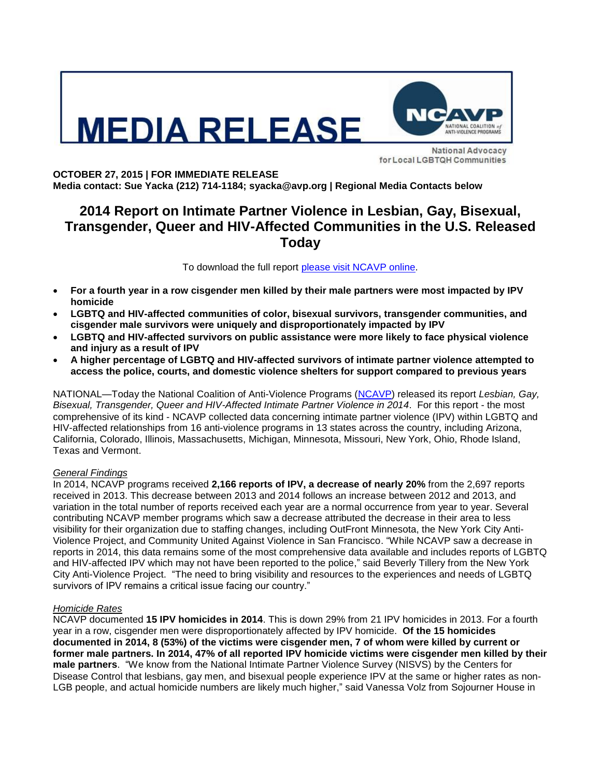



**National Advocacy** for Local LGBTQH Communities

**OCTOBER 27, 2015 | FOR IMMEDIATE RELEASE Media contact: Sue Yacka (212) 714-1184; syacka@avp.org | Regional Media Contacts below**

# **2014 Report on Intimate Partner Violence in Lesbian, Gay, Bisexual, Transgender, Queer and HIV-Affected Communities in the U.S. Released Today**

To download the full report [please visit NCAVP online.](http://avp.org/about-avp/national-coalition-of-anti-violence-programs)

- **For a fourth year in a row cisgender men killed by their male partners were most impacted by IPV homicide**
- **LGBTQ and HIV-affected communities of color, bisexual survivors, transgender communities, and cisgender male survivors were uniquely and disproportionately impacted by IPV**
- **LGBTQ and HIV-affected survivors on public assistance were more likely to face physical violence and injury as a result of IPV**
- **A higher percentage of LGBTQ and HIV-affected survivors of intimate partner violence attempted to access the police, courts, and domestic violence shelters for support compared to previous years**

NATIONAL—Today the National Coalition of Anti-Violence Programs [\(NCAVP\)](http://www.ncavp.org/) released its report *Lesbian, Gay, Bisexual, Transgender, Queer and HIV-Affected Intimate Partner Violence in 2014*. For this report - the most comprehensive of its kind - NCAVP collected data concerning intimate partner violence (IPV) within LGBTQ and HIV-affected relationships from 16 anti-violence programs in 13 states across the country, including Arizona, California, Colorado, Illinois, Massachusetts, Michigan, Minnesota, Missouri, New York, Ohio, Rhode Island, Texas and Vermont.

## *General Findings*

In 2014, NCAVP programs received **2,166 reports of IPV, a decrease of nearly 20%** from the 2,697 reports received in 2013. This decrease between 2013 and 2014 follows an increase between 2012 and 2013, and variation in the total number of reports received each year are a normal occurrence from year to year. Several contributing NCAVP member programs which saw a decrease attributed the decrease in their area to less visibility for their organization due to staffing changes, including OutFront Minnesota, the New York City Anti-Violence Project, and Community United Against Violence in San Francisco. "While NCAVP saw a decrease in reports in 2014, this data remains some of the most comprehensive data available and includes reports of LGBTQ and HIV-affected IPV which may not have been reported to the police," said Beverly Tillery from the New York City Anti-Violence Project. "The need to bring visibility and resources to the experiences and needs of LGBTQ survivors of IPV remains a critical issue facing our country."

## *Homicide Rates*

NCAVP documented **15 IPV homicides in 2014**. This is down 29% from 21 IPV homicides in 2013. For a fourth year in a row, cisgender men were disproportionately affected by IPV homicide. **Of the 15 homicides documented in 2014, 8 (53%) of the victims were cisgender men, 7 of whom were killed by current or former male partners. In 2014, 47% of all reported IPV homicide victims were cisgender men killed by their male partners**. "We know from the National Intimate Partner Violence Survey (NISVS) by the Centers for Disease Control that lesbians, gay men, and bisexual people experience IPV at the same or higher rates as non-LGB people, and actual homicide numbers are likely much higher," said Vanessa Volz from Sojourner House in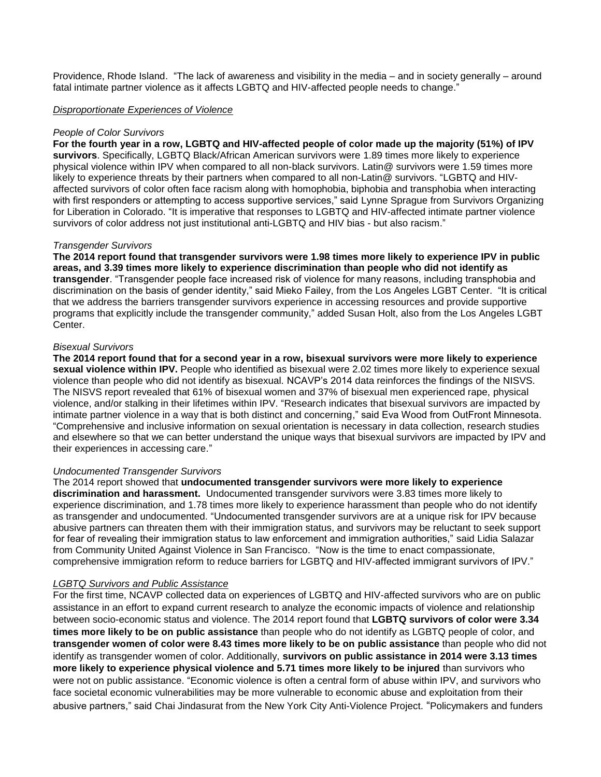Providence, Rhode Island. "The lack of awareness and visibility in the media – and in society generally – around fatal intimate partner violence as it affects LGBTQ and HIV-affected people needs to change."

#### *Disproportionate Experiences of Violence*

#### *People of Color Survivors*

**For the fourth year in a row, LGBTQ and HIV-affected people of color made up the majority (51%) of IPV survivors**. Specifically, LGBTQ Black/African American survivors were 1.89 times more likely to experience physical violence within IPV when compared to all non-black survivors. Latin@ survivors were 1.59 times more likely to experience threats by their partners when compared to all non-Latin@ survivors. "LGBTQ and HIVaffected survivors of color often face racism along with homophobia, biphobia and transphobia when interacting with first responders or attempting to access supportive services," said Lynne Sprague from Survivors Organizing for Liberation in Colorado. "It is imperative that responses to LGBTQ and HIV-affected intimate partner violence survivors of color address not just institutional anti-LGBTQ and HIV bias - but also racism."

#### *Transgender Survivors*

**The 2014 report found that transgender survivors were 1.98 times more likely to experience IPV in public areas, and 3.39 times more likely to experience discrimination than people who did not identify as transgender**. "Transgender people face increased risk of violence for many reasons, including transphobia and discrimination on the basis of gender identity," said Mieko Failey, from the Los Angeles LGBT Center. "It is critical that we address the barriers transgender survivors experience in accessing resources and provide supportive programs that explicitly include the transgender community," added Susan Holt, also from the Los Angeles LGBT Center.

#### *Bisexual Survivors*

**The 2014 report found that for a second year in a row, bisexual survivors were more likely to experience sexual violence within IPV.** People who identified as bisexual were 2.02 times more likely to experience sexual violence than people who did not identify as bisexual. NCAVP's 2014 data reinforces the findings of the NISVS. The NISVS report revealed that 61% of bisexual women and 37% of bisexual men experienced rape, physical violence, and/or stalking in their lifetimes within IPV. "Research indicates that bisexual survivors are impacted by intimate partner violence in a way that is both distinct and concerning," said Eva Wood from OutFront Minnesota. "Comprehensive and inclusive information on sexual orientation is necessary in data collection, research studies and elsewhere so that we can better understand the unique ways that bisexual survivors are impacted by IPV and their experiences in accessing care."

#### *Undocumented Transgender Survivors*

The 2014 report showed that **undocumented transgender survivors were more likely to experience discrimination and harassment.** Undocumented transgender survivors were 3.83 times more likely to experience discrimination, and 1.78 times more likely to experience harassment than people who do not identify as transgender and undocumented. "Undocumented transgender survivors are at a unique risk for IPV because abusive partners can threaten them with their immigration status, and survivors may be reluctant to seek support for fear of revealing their immigration status to law enforcement and immigration authorities," said Lidia Salazar from Community United Against Violence in San Francisco. "Now is the time to enact compassionate, comprehensive immigration reform to reduce barriers for LGBTQ and HIV-affected immigrant survivors of IPV."

### *LGBTQ Survivors and Public Assistance*

For the first time, NCAVP collected data on experiences of LGBTQ and HIV-affected survivors who are on public assistance in an effort to expand current research to analyze the economic impacts of violence and relationship between socio-economic status and violence. The 2014 report found that **LGBTQ survivors of color were 3.34 times more likely to be on public assistance** than people who do not identify as LGBTQ people of color, and **transgender women of color were 8.43 times more likely to be on public assistance** than people who did not identify as transgender women of color. Additionally, **survivors on public assistance in 2014 were 3.13 times more likely to experience physical violence and 5.71 times more likely to be injured** than survivors who were not on public assistance. "Economic violence is often a central form of abuse within IPV, and survivors who face societal economic vulnerabilities may be more vulnerable to economic abuse and exploitation from their abusive partners," said Chai Jindasurat from the New York City Anti-Violence Project. "Policymakers and funders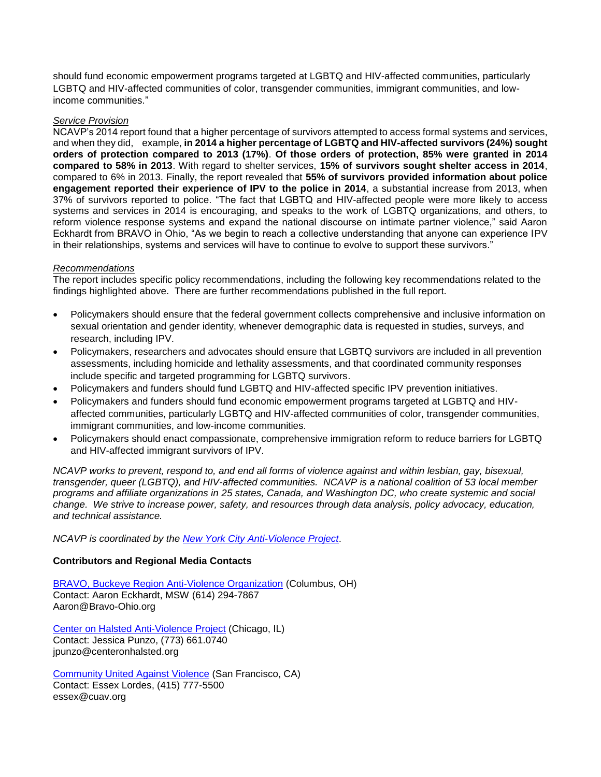should fund economic empowerment programs targeted at LGBTQ and HIV-affected communities, particularly LGBTQ and HIV-affected communities of color, transgender communities, immigrant communities, and lowincome communities."

### *Service Provision*

NCAVP's 2014 report found that a higher percentage of survivors attempted to access formal systems and services, and when they did, example, **in 2014 a higher percentage of LGBTQ and HIV-affected survivors (24%) sought orders of protection compared to 2013 (17%)**. **Of those orders of protection, 85% were granted in 2014 compared to 58% in 2013**. With regard to shelter services, **15% of survivors sought shelter access in 2014**, compared to 6% in 2013. Finally, the report revealed that **55% of survivors provided information about police engagement reported their experience of IPV to the police in 2014**, a substantial increase from 2013, when 37% of survivors reported to police. "The fact that LGBTQ and HIV-affected people were more likely to access systems and services in 2014 is encouraging, and speaks to the work of LGBTQ organizations, and others, to reform violence response systems and expand the national discourse on intimate partner violence," said Aaron Eckhardt from BRAVO in Ohio, "As we begin to reach a collective understanding that anyone can experience IPV in their relationships, systems and services will have to continue to evolve to support these survivors."

## *Recommendations*

The report includes specific policy recommendations, including the following key recommendations related to the findings highlighted above. There are further recommendations published in the full report.

- Policymakers should ensure that the federal government collects comprehensive and inclusive information on sexual orientation and gender identity, whenever demographic data is requested in studies, surveys, and research, including IPV.
- Policymakers, researchers and advocates should ensure that LGBTQ survivors are included in all prevention assessments, including homicide and lethality assessments, and that coordinated community responses include specific and targeted programming for LGBTQ survivors.
- Policymakers and funders should fund LGBTQ and HIV-affected specific IPV prevention initiatives.
- Policymakers and funders should fund economic empowerment programs targeted at LGBTQ and HIVaffected communities, particularly LGBTQ and HIV-affected communities of color, transgender communities, immigrant communities, and low-income communities.
- Policymakers should enact compassionate, comprehensive immigration reform to reduce barriers for LGBTQ and HIV-affected immigrant survivors of IPV.

*NCAVP works to prevent, respond to, and end all forms of violence against and within lesbian, gay, bisexual, transgender, queer (LGBTQ), and HIV-affected communities. NCAVP is a national coalition of 53 local member programs and affiliate organizations in 25 states, Canada, and Washington DC, who create systemic and social change. We strive to increase power, safety, and resources through data analysis, policy advocacy, education, and technical assistance.* 

*NCAVP is coordinated by the [New York City Anti-Violence Project](http://avp.org/)*.

## **Contributors and Regional Media Contacts**

[BRAVO, Buckeye Region Anti-Violence Organization](http://www.bravo-ohio.org/) (Columbus, OH) Contact: Aaron Eckhardt, MSW (614) 294-7867 Aaron@Bravo-Ohio.org

[Center on Halsted Anti-Violence Project](http://www.centeronhalsted.org/cohavp.html) (Chicago, IL) Contact: Jessica Punzo, (773) 661.0740 [jpunzo@centeronhalsted.org](mailto:jpunzo@centeronhalsted.org)

[Community United Against Violence](http://www.cuav.org/) (San Francisco, CA) Contact: Essex Lordes, (415) 777-5500 essex@cuav.org